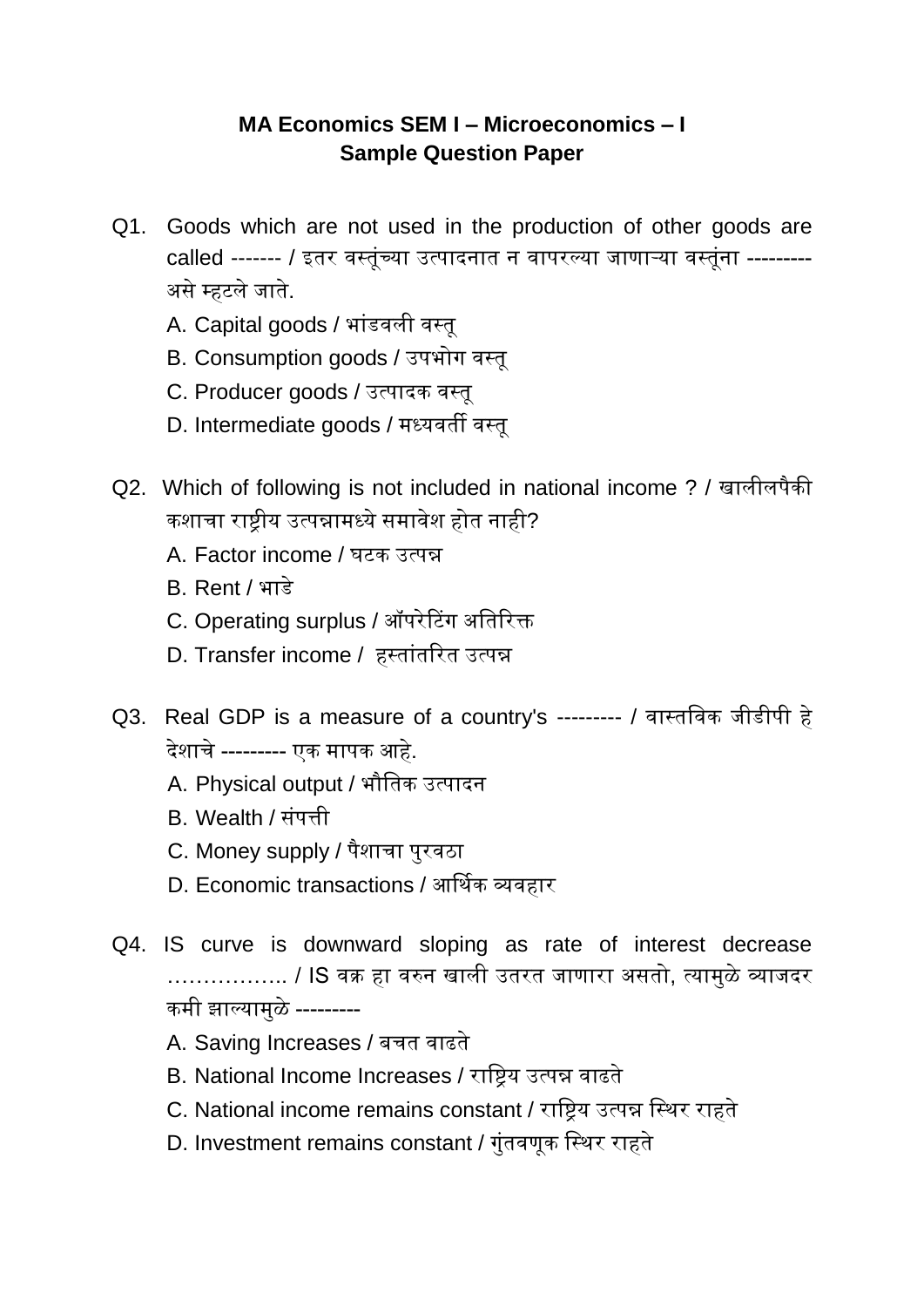## **MA Economics SEM I – Microeconomics – I Sample Question Paper**

- Q1. Goods which are not used in the production of other goods are called ------- / इतर वस्तूंच्या उत्पादनात न वापरल्या जाणाऱ्या वस्तूंना ---------असे म्हटले जाते.
	- A. Capital goods / भांडवली वस्तू
	- B. Consumption goods / उपभोग वसतू
	- C. Producer goods / उत्पादक वसतू
	- D. Intermediate goods / मध्यवती वसतू
- Q2. Which of following is not included in national income ? / खालीलपैकी कशाचा राष्ट्रीय उत्पन्नामध्ये समावेश होत नाही?
	- A. Factor income / घटक उत्पन्न
	- B. Rent / भाडे
	- C. Operating surplus / ऑपरेटिंग अतिरिक्त
	- D. Transfer income / हस्तांतरित उत्पन्न
- Q3. Real GDP is a measure of a country's --------- / वासततवक जीडीपी हे देशाचे --------- एक मापक आहे.
	- A. Physical output / भौततक उत्पादन
	- B. Wealth / सूंपत्ती
	- C. Money supply / पैशाचा पुरवठा
	- D. Economic transactions / आर्थिक व्यवहार
- Q4. IS curve is downward sloping as rate of interest decrease …………….. / IS वक्र हा वरुन खाली उतरत जाणारा असतो, त्यामुळे व्याजदर कमी झाल्यामुळे ---------
	- A. Saving Increases / बचत वाढते
	- B. National Income Increases / रातष्ट्रय उत्पन्न वाढते
	- C. National income remains constant / राष्ट्रिय उत्पन्न स्थिर राहते
	- D. Investment remains constant / गुूंतवणूक तसथर राहते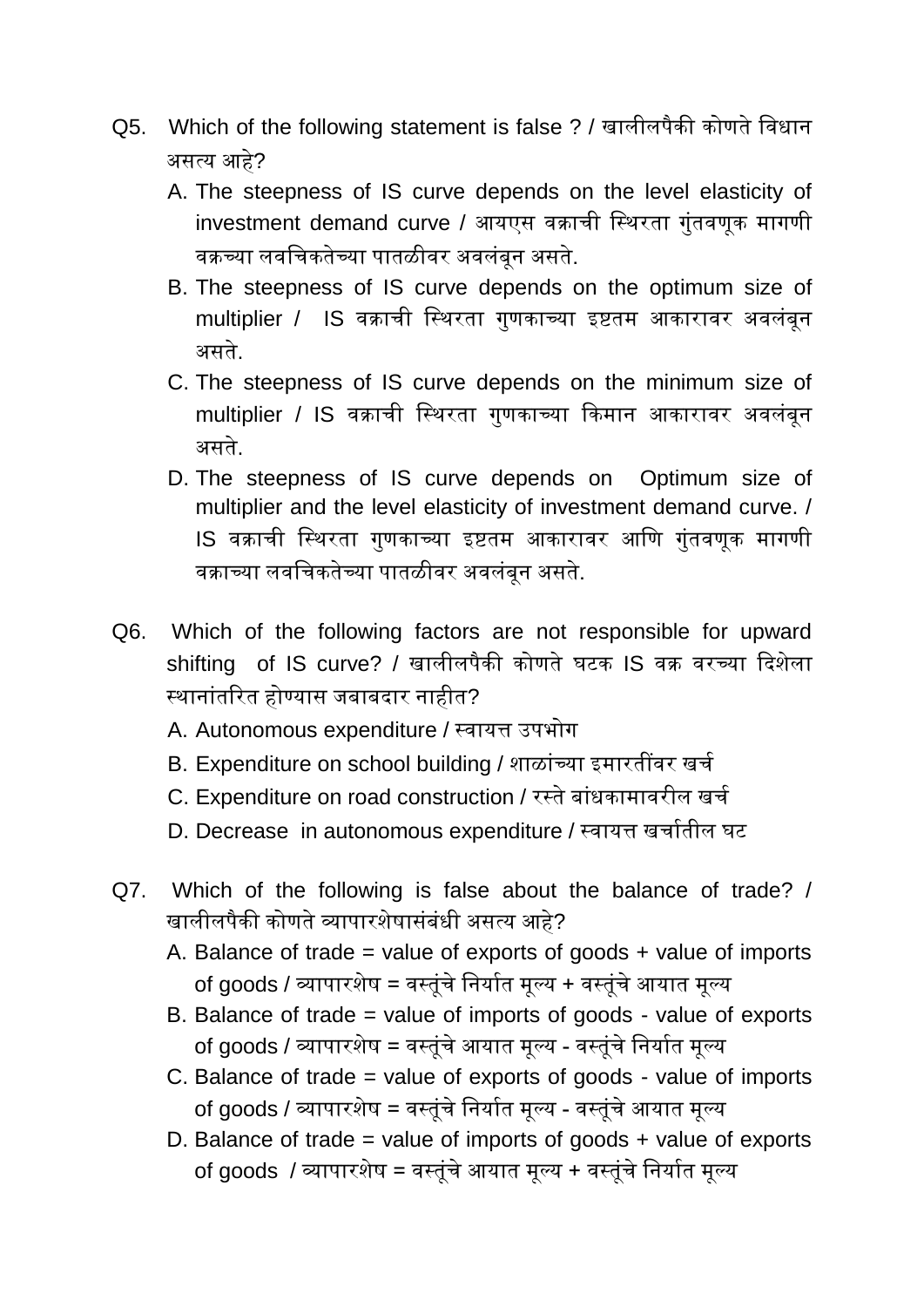- Q5. Which of the following statement is false ? / खालीलपैकी कोणते तवधान असत्य आहे?
	- A. The steepness of IS curve depends on the level elasticity of investment demand curve / आयएस वक्राची स्थिरता गुंतवणूक मागणी वक्रच्या लवतचकतेच्या पातळीवर अवलूंबून असते.
	- B. The steepness of IS curve depends on the optimum size of multiplier / IS वक्राची तसथरता गुणकाच्या इष्टतम आकारावर अवलूंबून असते.
	- C. The steepness of IS curve depends on the minimum size of multiplier / IS वक्राची तसथरता गुणकाच्या ककमान आकारावर अवलूंबून असते.
	- D. The steepness of IS curve depends on Optimum size of multiplier and the level elasticity of investment demand curve. / IS वक्राची तसथरता गुणकाच्या इष्टतम आकारावर आतण गुूंतवणूक मागणी वक्राच्या लवतचकतेच्या पातळीवर अवलूंबून असते.
- Q6. Which of the following factors are not responsible for upward shifting of IS curve? / खालीलपैकी कोणते घटक IS वक्र वरच्या कदशेला सथानाूंतररत होण्यास जबाबदार नाहीत?
	- A. Autonomous expenditure / सवायत्त उपभोग
	- B. Expenditure on school building / शाळांच्या इमारतींवर खर्च
	- C. Expenditure on road construction / रस्ते बांधकामावरील खर्च
	- D. Decrease in autonomous expenditure / सवायत्त खचाचतील घट
- Q7. Which of the following is false about the balance of trade? / खालीलपैकी कोणते व्यापारशेषासूंबूंधी असत्य आहे?
	- A. Balance of trade = value of exports of goods  $+$  value of imports of goods / व्यापारशेष = वसतूूंचे तनयाचत मूल्य + वसतूूंचे आयात मूल्य
	- B. Balance of trade = value of imports of goods value of exports of goods / व्यापारशेष = वसतूूंचे आयात मूल्य - वसतूूंचे तनयाचत मूल्य
	- C. Balance of trade = value of exports of goods value of imports of goods / व्यापारशेष = वसतूूंचे तनयाचत मूल्य - वसतूूंचे आयात मूल्य
	- D. Balance of trade = value of imports of goods  $+$  value of exports of goods / व्यापारशेष = वसतूूंचे आयात मूल्य + वसतूूंचे तनयाचत मूल्य